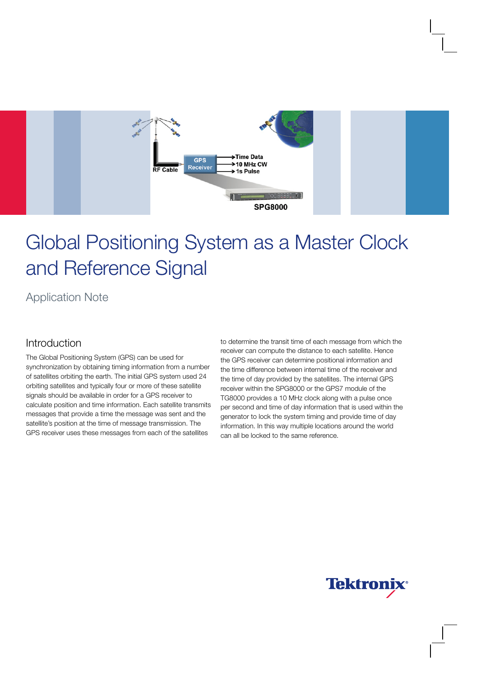

# Global Positioning System as a Master Clock and Reference Signal

Application Note

### Introduction

The Global Positioning System (GPS) can be used for synchronization by obtaining timing information from a number of satellites orbiting the earth. The initial GPS system used 24 orbiting satellites and typically four or more of these satellite signals should be available in order for a GPS receiver to calculate position and time information. Each satellite transmits messages that provide a time the message was sent and the satellite's position at the time of message transmission. The GPS receiver uses these messages from each of the satellites

to determine the transit time of each message from which the receiver can compute the distance to each satellite. Hence the GPS receiver can determine positional information and the time difference between internal time of the receiver and the time of day provided by the satellites. The internal GPS receiver within the SPG8000 or the GPS7 module of the TG8000 provides a 10 MHz clock along with a pulse once per second and time of day information that is used within the generator to lock the system timing and provide time of day information. In this way multiple locations around the world can all be locked to the same reference.

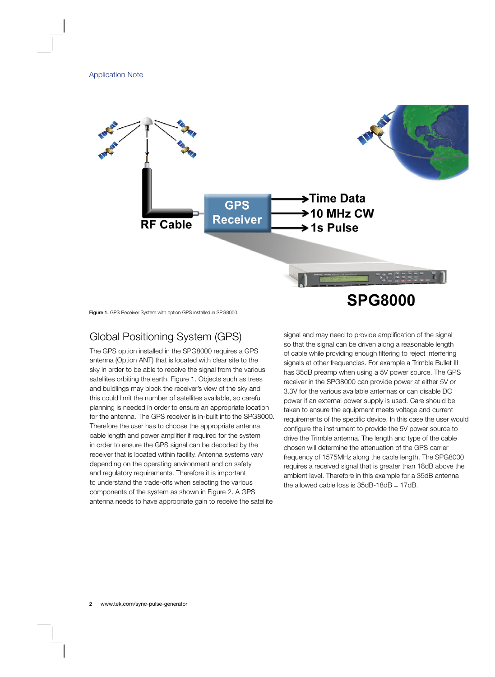

Figure 1. GPS Receiver System with option GPS installed in SPG8000.

## Global Positioning System (GPS)

The GPS option installed in the SPG8000 requires a GPS antenna (Option ANT) that is located with clear site to the sky in order to be able to receive the signal from the various satellites orbiting the earth, Figure 1. Objects such as trees and buidlings may block the receiver's view of the sky and this could limit the number of satellites available, so careful planning is needed in order to ensure an appropriate location for the antenna. The GPS receiver is in-built into the SPG8000. Therefore the user has to choose the appropriate antenna, cable length and power amplifier if required for the system in order to ensure the GPS signal can be decoded by the receiver that is located within facility. Antenna systems vary depending on the operating environment and on safety and regulatory requirements. Therefore it is important to understand the trade-offs when selecting the various components of the system as shown in Figure 2. A GPS antenna needs to have appropriate gain to receive the satellite

signal and may need to provide amplification of the signal so that the signal can be driven along a reasonable length of cable while providing enough filtering to reject interfering signals at other frequencies. For example a Trimble Bullet III has 35dB preamp when using a 5V power source. The GPS receiver in the SPG8000 can provide power at either 5V or 3.3V for the various available antennas or can disable DC power if an external power supply is used. Care should be taken to ensure the equipment meets voltage and current requirements of the specific device. In this case the user would configure the instrument to provide the 5V power source to drive the Trimble antenna. The length and type of the cable chosen will determine the attenuation of the GPS carrier frequency of 1575MHz along the cable length. The SPG8000 requires a received signal that is greater than 18dB above the ambient level. Therefore in this example for a 35dB antenna the allowed cable loss is  $35dB-18dB = 17dB$ .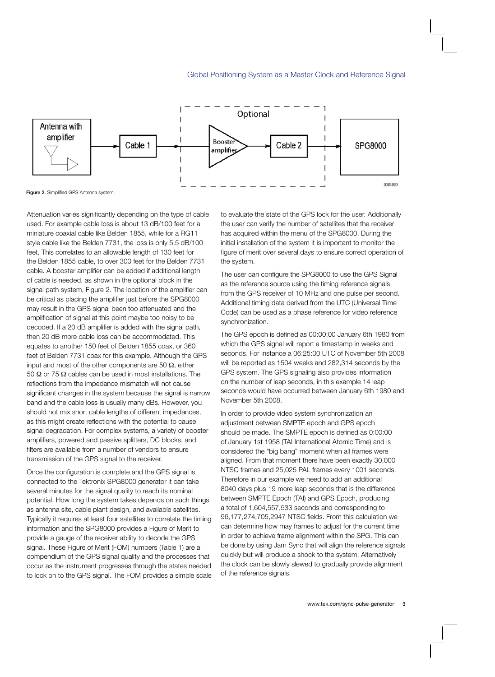

Figure 2. Simplified GPS Antenna system.

Attenuation varies significantly depending on the type of cable used. For example cable loss is about 13 dB/100 feet for a miniature coaxial cable like Belden 1855, while for a RG11 style cable like the Belden 7731, the loss is only 5.5 dB/100 feet. This correlates to an allowable length of 130 feet for the Belden 1855 cable, to over 300 feet for the Belden 7731 cable. A booster amplifier can be added if additional length of cable is needed, as shown in the optional block in the signal path system, Figure 2. The location of the amplifier can be critical as placing the amplifier just before the SPG8000 may result in the GPS signal been too attenuated and the amplification of signal at this point maybe too noisy to be decoded. If a 20 dB amplifier is added with the signal path, then 20 dB more cable loss can be accommodated. This equates to another 150 feet of Belden 1855 coax, or 360 feet of Belden 7731 coax for this example. Although the GPS input and most of the other components are 50  $\Omega$ , either 50 Ω or 75 Ω cables can be used in most installations. The reflections from the impedance mismatch will not cause significant changes in the system because the signal is narrow band and the cable loss is usually many dBs. However, you should not mix short cable lengths of different impedances, as this might create reflections with the potential to cause signal degradation. For complex systems, a variety of booster amplifiers, powered and passive splitters, DC blocks, and filters are available from a number of vendors to ensure transmission of the GPS signal to the receiver.

Once the configuration is complete and the GPS signal is connected to the Tektronix SPG8000 generator it can take several minutes for the signal quality to reach its nominal potential. How long the system takes depends on such things as antenna site, cable plant design, and available satellites. Typically it requires at least four satellites to correlate the timing information and the SPG8000 provides a Figure of Merit to provide a gauge of the receiver ability to decode the GPS signal. These Figure of Merit (FOM) numbers (Table 1) are a compendium of the GPS signal quality and the processes that occur as the instrument progresses through the states needed to lock on to the GPS signal. The FOM provides a simple scale to evaluate the state of the GPS lock for the user. Additionally the user can verify the number of satellites that the receiver has acquired within the menu of the SPG8000. During the initial installation of the system it is important to monitor the figure of merit over several days to ensure correct operation of the system.

The user can configure the SPG8000 to use the GPS Signal as the reference source using the timing reference signals from the GPS receiver of 10 MHz and one pulse per second. Additional timing data derived from the UTC (Universal Time Code) can be used as a phase reference for video reference synchronization.

The GPS epoch is defined as 00:00:00 January 6th 1980 from which the GPS signal will report a timestamp in weeks and seconds. For instance a 06:25:00 UTC of November 5th 2008 will be reported as 1504 weeks and 282,314 seconds by the GPS system. The GPS signaling also provides information on the number of leap seconds, in this example 14 leap seconds would have occurred between January 6th 1980 and November 5th 2008.

In order to provide video system synchronization an adjustment between SMPTE epoch and GPS epoch should be made. The SMPTE epoch is defined as 0:00:00 of January 1st 1958 (TAI International Atomic Time) and is considered the "big bang" moment when all frames were aligned. From that moment there have been exactly 30,000 NTSC frames and 25,025 PAL frames every 1001 seconds. Therefore in our example we need to add an additional 8040 days plus 19 more leap seconds that is the difference between SMPTE Epoch (TAI) and GPS Epoch, producing a total of 1,604,557,533 seconds and corresponding to 96,177,274,705,2947 NTSC fields. From this calculation we can determine how may frames to adjust for the current time in order to achieve frame alignment within the SPG. This can be done by using Jam Sync that will align the reference signals quickly but will produce a shock to the system. Alternatively the clock can be slowly slewed to gradually provide alignment of the reference signals.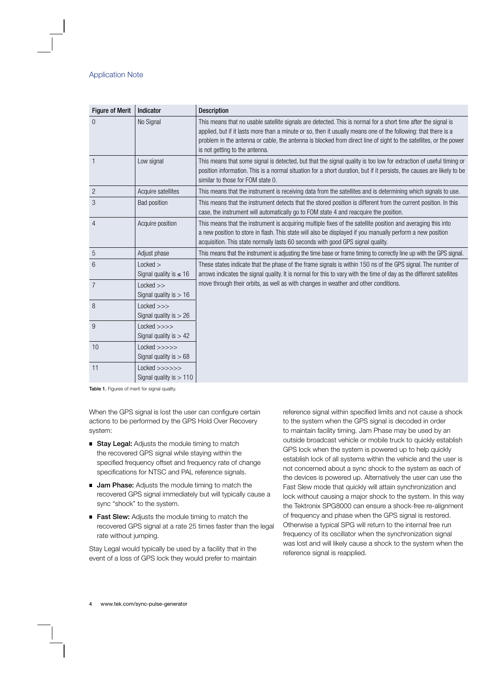| <b>Figure of Merit</b> | Indicator                                    | <b>Description</b>                                                                                                                                                                                                                                                                                                                                                                     |
|------------------------|----------------------------------------------|----------------------------------------------------------------------------------------------------------------------------------------------------------------------------------------------------------------------------------------------------------------------------------------------------------------------------------------------------------------------------------------|
| $\overline{0}$         | No Signal                                    | This means that no usable satellite signals are detected. This is normal for a short time after the signal is<br>applied, but if it lasts more than a minute or so, then it usually means one of the following: that there is a<br>problem in the antenna or cable, the antenna is blocked from direct line of sight to the satellites, or the power<br>is not getting to the antenna. |
| $\overline{1}$         | Low signal                                   | This means that some signal is detected, but that the signal quality is too low for extraction of useful timing or<br>position information. This is a normal situation for a short duration, but if it persists, the causes are likely to be<br>similar to those for FOM state 0.                                                                                                      |
| $\overline{c}$         | Acquire satellites                           | This means that the instrument is receiving data from the satellites and is determining which signals to use.                                                                                                                                                                                                                                                                          |
| 3                      | <b>Bad position</b>                          | This means that the instrument detects that the stored position is different from the current position. In this<br>case, the instrument will automatically go to FOM state 4 and reacquire the position.                                                                                                                                                                               |
| $\overline{4}$         | Acquire position                             | This means that the instrument is acquiring multiple fixes of the satellite position and averaging this into<br>a new position to store in flash. This state will also be displayed if you manually perform a new position<br>acquisition. This state normally lasts 60 seconds with good GPS signal quality.                                                                          |
| 5                      | Adjust phase                                 | This means that the instrument is adjusting the time base or frame timing to correctly line up with the GPS signal.                                                                                                                                                                                                                                                                    |
| $6\phantom{1}6$        | Locked<br>Signal quality is $\leq 16$        | These states indicate that the phase of the frame signals is within 150 ns of the GPS signal. The number of<br>arrows indicates the signal quality. It is normal for this to vary with the time of day as the different satellites                                                                                                                                                     |
| $\overline{7}$         | $Locked$ >><br>Signal quality is $> 16$      | move through their orbits, as well as with changes in weather and other conditions.                                                                                                                                                                                                                                                                                                    |
| 8                      | $Locked \gg\gt$<br>Signal quality is $> 26$  |                                                                                                                                                                                                                                                                                                                                                                                        |
| 9                      | $Locked \n>>\n>$<br>Signal quality is $> 42$ |                                                                                                                                                                                                                                                                                                                                                                                        |
| 10                     | Locked >>>>><br>Signal quality is $> 68$     |                                                                                                                                                                                                                                                                                                                                                                                        |
| 11                     | Locked >>>>>><br>Signal quality is $> 110$   |                                                                                                                                                                                                                                                                                                                                                                                        |

Table 1. Figures of merit for signal quality.

When the GPS signal is lost the user can configure certain actions to be performed by the GPS Hold Over Recovery system:

- **Stay Legal:** Adjusts the module timing to match the recovered GPS signal while staying within the specified frequency offset and frequency rate of change specifications for NTSC and PAL reference signals.
- **Jam Phase:** Adjusts the module timing to match the recovered GPS signal immediately but will typically cause a sync "shock" to the system.
- Fast Slew: Adjusts the module timing to match the recovered GPS signal at a rate 25 times faster than the legal rate without jumping.

Stay Legal would typically be used by a facility that in the event of a loss of GPS lock they would prefer to maintain reference signal within specified limits and not cause a shock to the system when the GPS signal is decoded in order to maintain facility timing. Jam Phase may be used by an outside broadcast vehicle or mobile truck to quickly establish GPS lock when the system is powered up to help quickly establish lock of all systems within the vehicle and the user is not concerned about a sync shock to the system as each of the devices is powered up. Alternatively the user can use the Fast Slew mode that quickly will attain synchronization and lock without causing a major shock to the system. In this way the Tektronix SPG8000 can ensure a shock-free re-alignment of frequency and phase when the GPS signal is restored. Otherwise a typical SPG will return to the internal free run frequency of its oscillator when the synchronization signal was lost and will likely cause a shock to the system when the reference signal is reapplied.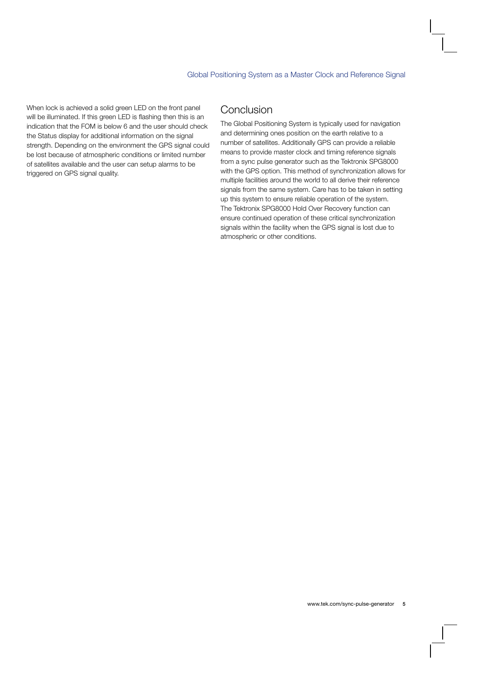When lock is achieved a solid green LED on the front panel will be illuminated. If this green LED is flashing then this is an indication that the FOM is below 6 and the user should check the Status display for additional information on the signal strength. Depending on the environment the GPS signal could be lost because of atmospheric conditions or limited number of satellites available and the user can setup alarms to be triggered on GPS signal quality.

## Conclusion

The Global Positioning System is typically used for navigation and determining ones position on the earth relative to a number of satellites. Additionally GPS can provide a reliable means to provide master clock and timing reference signals from a sync pulse generator such as the Tektronix SPG8000 with the GPS option. This method of synchronization allows for multiple facilities around the world to all derive their reference signals from the same system. Care has to be taken in setting up this system to ensure reliable operation of the system. The Tektronix SPG8000 Hold Over Recovery function can ensure continued operation of these critical synchronization signals within the facility when the GPS signal is lost due to atmospheric or other conditions.